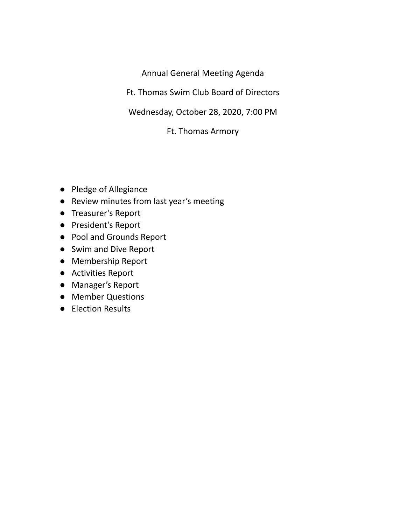Annual General Meeting Agenda

Ft. Thomas Swim Club Board of Directors

Wednesday, October 28, 2020, 7:00 PM

Ft. Thomas Armory

- Pledge of Allegiance
- Review minutes from last year's meeting
- Treasurer's Report
- President's Report
- Pool and Grounds Report
- Swim and Dive Report
- Membership Report
- Activities Report
- Manager's Report
- Member Questions
- Election Results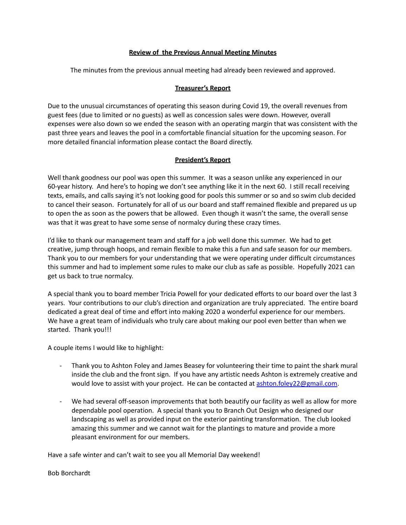### **Review of the Previous Annual Meeting Minutes**

The minutes from the previous annual meeting had already been reviewed and approved.

### **Treasurer's Report**

Due to the unusual circumstances of operating this season during Covid 19, the overall revenues from guest fees (due to limited or no guests) as well as concession sales were down. However, overall expenses were also down so we ended the season with an operating margin that was consistent with the past three years and leaves the pool in a comfortable financial situation for the upcoming season. For more detailed financial information please contact the Board directly.

## **President's Report**

Well thank goodness our pool was open this summer. It was a season unlike any experienced in our 60-year history. And here's to hoping we don't see anything like it in the next 60. I still recall receiving texts, emails, and calls saying it's not looking good for pools this summer or so and so swim club decided to cancel their season. Fortunately for all of us our board and staff remained flexible and prepared us up to open the as soon as the powers that be allowed. Even though it wasn't the same, the overall sense was that it was great to have some sense of normalcy during these crazy times.

I'd like to thank our management team and staff for a job well done this summer. We had to get creative, jump through hoops, and remain flexible to make this a fun and safe season for our members. Thank you to our members for your understanding that we were operating under difficult circumstances this summer and had to implement some rules to make our club as safe as possible. Hopefully 2021 can get us back to true normalcy.

A special thank you to board member Tricia Powell for your dedicated efforts to our board over the last 3 years. Your contributions to our club's direction and organization are truly appreciated. The entire board dedicated a great deal of time and effort into making 2020 a wonderful experience for our members. We have a great team of individuals who truly care about making our pool even better than when we started. Thank you!!!

A couple items I would like to highlight:

- Thank you to Ashton Foley and James Beasey for volunteering their time to paint the shark mural inside the club and the front sign. If you have any artistic needs Ashton is extremely creative and would love to assist with your project. He can be contacted at [ashton.foley22@gmail.com.](mailto:ashton.foley22@gmail.com)
- We had several off-season improvements that both beautify our facility as well as allow for more dependable pool operation. A special thank you to Branch Out Design who designed our landscaping as well as provided input on the exterior painting transformation. The club looked amazing this summer and we cannot wait for the plantings to mature and provide a more pleasant environment for our members.

Have a safe winter and can't wait to see you all Memorial Day weekend!

#### Bob Borchardt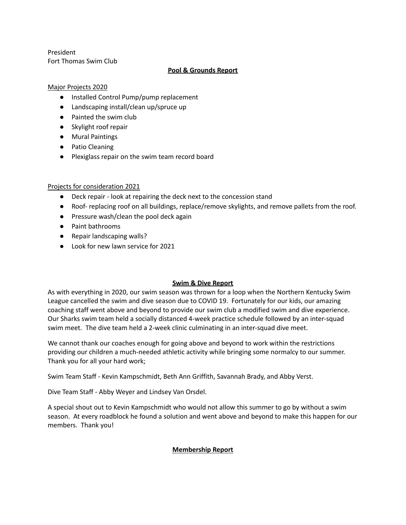President Fort Thomas Swim Club

# **Pool & Grounds Report**

## Major Projects 2020

- Installed Control Pump/pump replacement
- Landscaping install/clean up/spruce up
- Painted the swim club
- Skylight roof repair
- Mural Paintings
- Patio Cleaning
- Plexiglass repair on the swim team record board

# Projects for consideration 2021

- Deck repair look at repairing the deck next to the concession stand
- Roof- replacing roof on all buildings, replace/remove skylights, and remove pallets from the roof.
- Pressure wash/clean the pool deck again
- Paint bathrooms
- Repair landscaping walls?
- Look for new lawn service for 2021

# **Swim & Dive Report**

As with everything in 2020, our swim season was thrown for a loop when the Northern Kentucky Swim League cancelled the swim and dive season due to COVID 19. Fortunately for our kids, our amazing coaching staff went above and beyond to provide our swim club a modified swim and dive experience. Our Sharks swim team held a socially distanced 4-week practice schedule followed by an inter-squad swim meet. The dive team held a 2-week clinic culminating in an inter-squad dive meet.

We cannot thank our coaches enough for going above and beyond to work within the restrictions providing our children a much-needed athletic activity while bringing some normalcy to our summer. Thank you for all your hard work;

Swim Team Staff - Kevin Kampschmidt, Beth Ann Griffith, Savannah Brady, and Abby Verst.

Dive Team Staff - Abby Weyer and Lindsey Van Orsdel.

A special shout out to Kevin Kampschmidt who would not allow this summer to go by without a swim season. At every roadblock he found a solution and went above and beyond to make this happen for our members. Thank you!

# **Membership Report**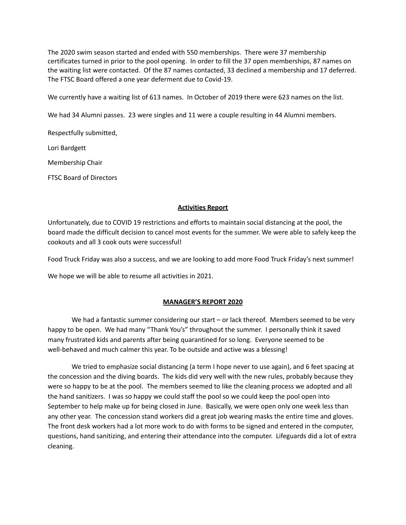The 2020 swim season started and ended with 550 memberships. There were 37 membership certificates turned in prior to the pool opening. In order to fill the 37 open memberships, 87 names on the waiting list were contacted. Of the 87 names contacted, 33 declined a membership and 17 deferred. The FTSC Board offered a one year deferment due to Covid-19.

We currently have a waiting list of 613 names. In October of 2019 there were 623 names on the list.

We had 34 Alumni passes. 23 were singles and 11 were a couple resulting in 44 Alumni members.

Respectfully submitted,

Lori Bardgett

Membership Chair

FTSC Board of Directors

### **Activities Report**

Unfortunately, due to COVID 19 restrictions and efforts to maintain social distancing at the pool, the board made the difficult decision to cancel most events for the summer. We were able to safely keep the cookouts and all 3 cook outs were successful!

Food Truck Friday was also a success, and we are looking to add more Food Truck Friday's next summer!

We hope we will be able to resume all activities in 2021.

#### **MANAGER'S REPORT 2020**

We had a fantastic summer considering our start – or lack thereof. Members seemed to be very happy to be open. We had many "Thank You's" throughout the summer. I personally think it saved many frustrated kids and parents after being quarantined for so long. Everyone seemed to be well-behaved and much calmer this year. To be outside and active was a blessing!

We tried to emphasize social distancing (a term I hope never to use again), and 6 feet spacing at the concession and the diving boards. The kids did very well with the new rules, probably because they were so happy to be at the pool. The members seemed to like the cleaning process we adopted and all the hand sanitizers. I was so happy we could staff the pool so we could keep the pool open into September to help make up for being closed in June. Basically, we were open only one week less than any other year. The concession stand workers did a great job wearing masks the entire time and gloves. The front desk workers had a lot more work to do with forms to be signed and entered in the computer, questions, hand sanitizing, and entering their attendance into the computer. Lifeguards did a lot of extra cleaning.